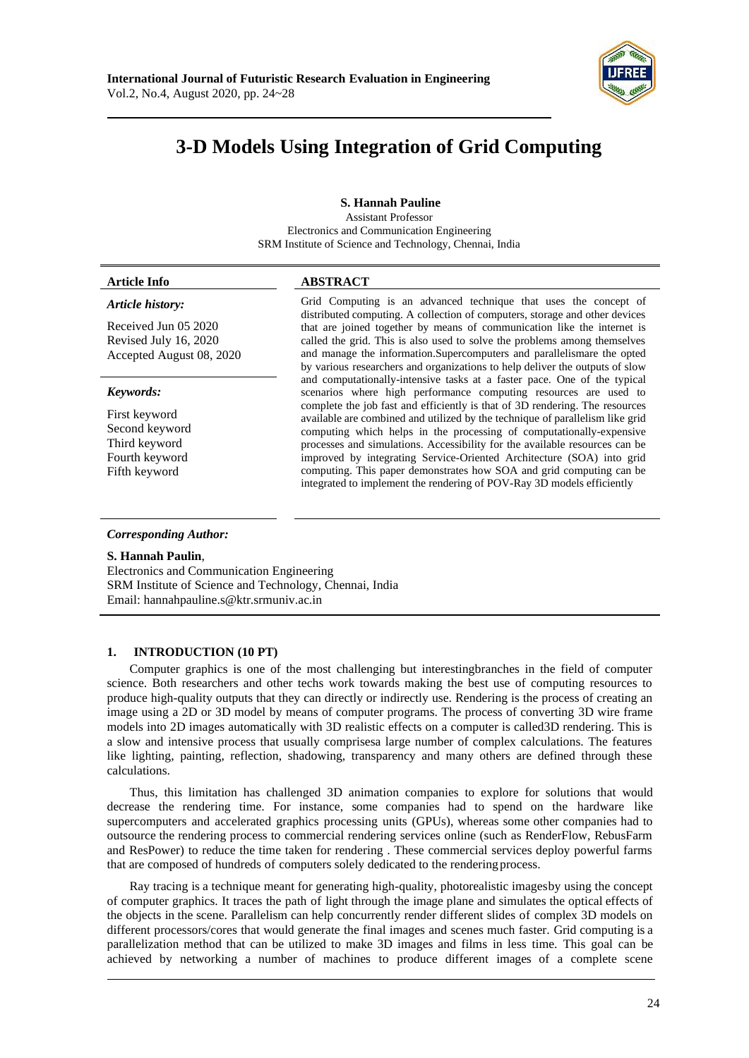

# **3-D Models Using Integration of Grid Computing**

### **S. Hannah Pauline**

Assistant Professor Electronics and Communication Engineering SRM Institute of Science and Technology, Chennai, India

#### **Article Info ABSTRACT**

# *Article history:*

Received Jun 05 2020 Revised July 16, 2020 Accepted August 08, 2020

#### *Keywords:*

First keyword Second keyword Third keyword Fourth keyword Fifth keyword

Grid Computing is an advanced technique that uses the concept of distributed computing. A collection of computers, storage and other devices that are joined together by means of communication like the internet is called the grid. This is also used to solve the problems among themselves and manage the information.Supercomputers and parallelismare the opted by various researchers and organizations to help deliver the outputs of slow and computationally-intensive tasks at a faster pace. One of the typical scenarios where high performance computing resources are used to complete the job fast and efficiently is that of 3D rendering. The resources available are combined and utilized by the technique of parallelism like grid computing which helps in the processing of computationally-expensive processes and simulations. Accessibility for the available resources can be improved by integrating Service-Oriented Architecture (SOA) into grid computing. This paper demonstrates how SOA and grid computing can be integrated to implement the rendering of POV-Ray 3D models efficiently

#### *Corresponding Author:*

#### **S. Hannah Paulin**,

Electronics and Communication Engineering SRM Institute of Science and Technology, Chennai, India Email: [hannahpauline.s@ktr.srmuniv.ac.in](mailto:hannahpauline.s@ktr.srmuniv.ac.in)

#### **1. INTRODUCTION (10 PT)**

Computer graphics is one of the most challenging but interestingbranches in the field of computer science. Both researchers and other techs work towards making the best use of computing resources to produce high-quality outputs that they can directly or indirectly use. Rendering is the process of creating an image using a [2D](https://en.wikipedia.org/wiki/2D_model) or [3D model](https://en.wikipedia.org/wiki/3D_model) by means of computer programs. The process of converting 3D wire frame models into 2D images automatically with 3D realistic effects on a computer is called3D rendering. This is a slow and intensive process that usually comprisesa large number of complex calculations. The features like lighting, painting, reflection, shadowing, transparency and many others are defined through these calculations.

Thus, this limitation has challenged 3D animation companies to explore for solutions that would decrease the rendering time. For instance, some companies had to spend on the hardware like supercomputers and accelerated graphics processing units (GPUs), whereas some other companies had to outsource the rendering process to commercial rendering services online (such as RenderFlow, RebusFarm and ResPower) to reduce the time taken for rendering . These commercial services deploy powerful farms that are composed of hundreds of computers solely dedicated to the renderingprocess.

Ray tracing is a technique meant for generating high-quality, photorealistic imagesby using the concept of computer graphics. It traces the path of light through the image plane and simulates the optical effects of the objects in the scene. Parallelism can help concurrently render different slides of complex 3D models on different processors/cores that would generate the final images and scenes much faster. Grid computing is a parallelization method that can be utilized to make 3D images and films in less time. This goal can be achieved by networking a number of machines to produce different images of a complete scene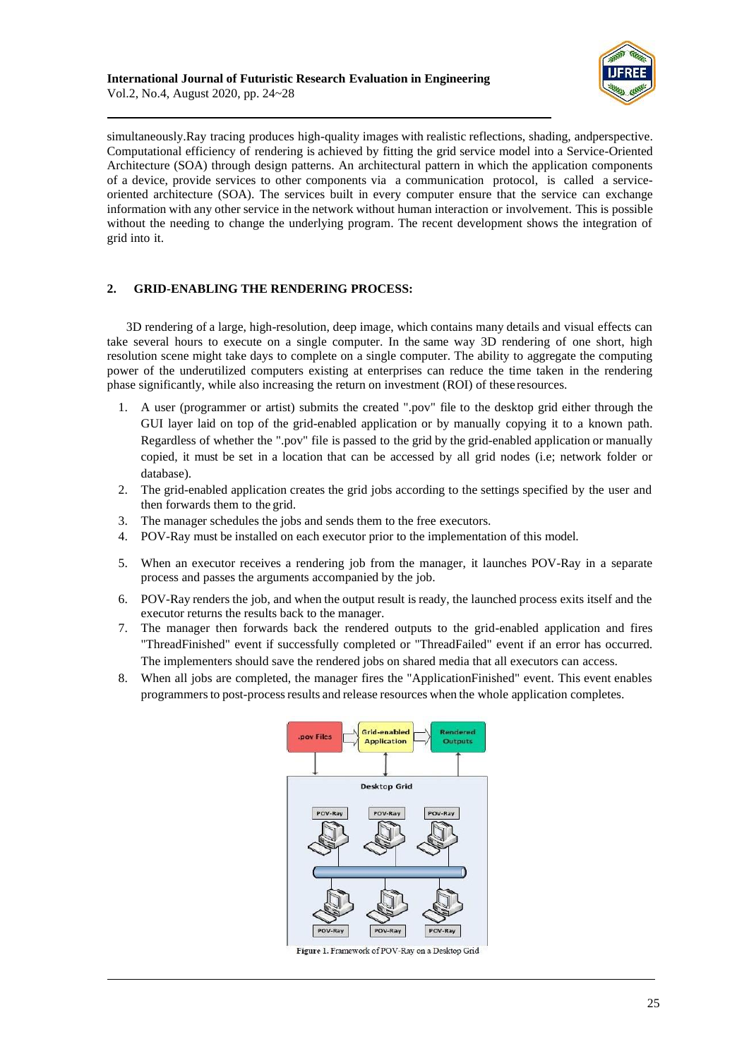

simultaneously.Ray tracing produces high-quality images with realistic reflections, shading, andperspective. Computational efficiency of rendering is achieved by fitting the grid service model into a Service-Oriented Architecture (SOA) through design patterns. An [architectural](https://en.wikipedia.org/wiki/Architectural_pattern) [pattern i](https://en.wikipedia.org/wiki/Architectural_pattern)n which the application components of a device, provide services to other components via a [communication protocol,](https://en.wikipedia.org/wiki/Communications_protocol) is called a serviceoriented architecture (SOA). The services built in every computer ensure that the service can exchange information with any other service in the network without human interaction or involvement. This is possible without the needing to change the underlying program. The recent development shows the integration of grid into it.

# **2. GRID-ENABLING THE RENDERING PROCESS:**

3D rendering of a large, high-resolution, deep image, which contains many details and visual effects can take several hours to execute on a single computer. In the same way 3D rendering of one short, high resolution scene might take days to complete on a single computer. The ability to aggregate the computing power of the underutilized computers existing at enterprises can reduce the time taken in the rendering phase significantly, while also increasing the return on investment (ROI) of these resources.

- 1. A user (programmer or artist) submits the created ".pov" file to the desktop grid either through the GUI layer laid on top of the grid-enabled application or by manually copying it to a known path. Regardless of whether the ".pov" file is passed to the grid by the grid-enabled application or manually copied, it must be set in a location that can be accessed by all grid nodes (i.e; network folder or database).
- 2. The grid-enabled application creates the grid jobs according to the settings specified by the user and then forwards them to the grid.
- 3. The manager schedules the jobs and sends them to the free executors.
- 4. POV-Ray must be installed on each executor prior to the implementation of this model.
- 5. When an executor receives a rendering job from the manager, it launches POV-Ray in a separate process and passes the arguments accompanied by the job.
- 6. POV-Ray renders the job, and when the output result is ready, the launched process exits itself and the executor returns the results back to the manager.
- 7. The manager then forwards back the rendered outputs to the grid-enabled application and fires "ThreadFinished" event if successfully completed or "ThreadFailed" event if an error has occurred. The implementers should save the rendered jobs on shared media that all executors can access.
- 8. When all jobs are completed, the manager fires the "ApplicationFinished" event. This event enables programmersto post-processresults and release resources when the whole application completes.



Figure 1. Framework of POV-Ray on a Desktop Grid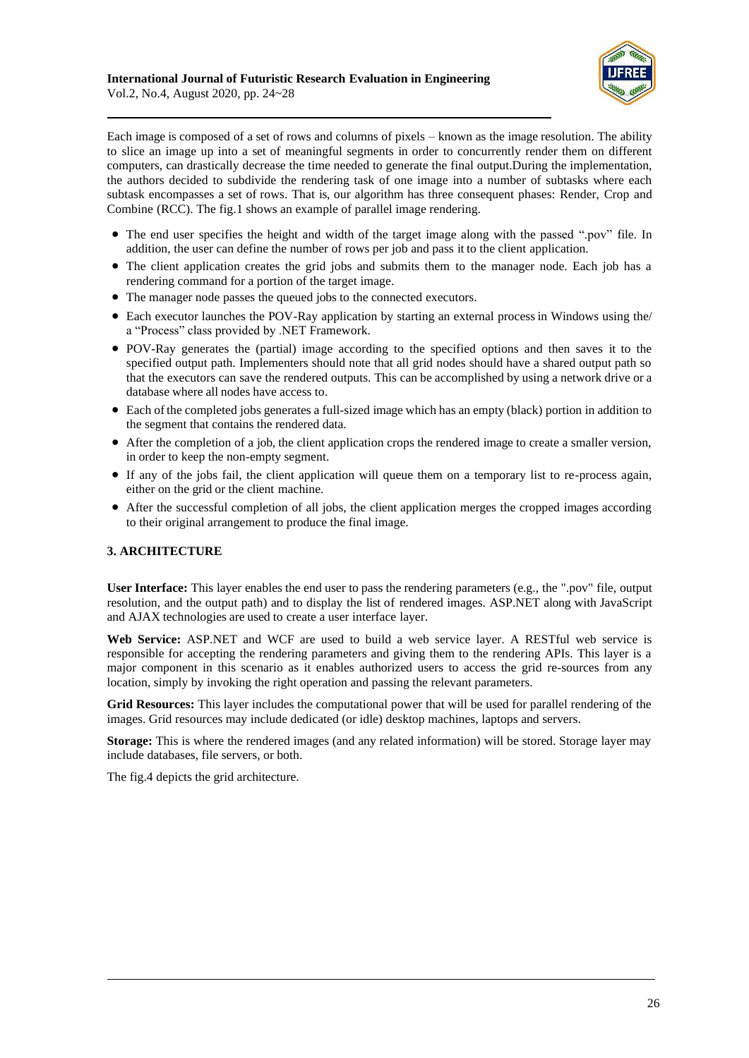

Each image is composed of a set of rows and columns of pixels – known as the image resolution. The ability to slice an image up into a set of meaningful segments in order to concurrently render them on different computers, can drastically decrease the time needed to generate the final output.During the implementation, the authors decided to subdivide the rendering task of one image into a number of subtasks where each subtask encompasses a set of rows. That is, our algorithm has three consequent phases: Render, Crop and Combine (RCC). The fig.1 shows an example of parallel image rendering.

- The end user specifies the height and width of the target image along with the passed ".pov" file. In addition, the user can define the number of rows per job and pass it to the client application.
- The client application creates the grid jobs and submits them to the manager node. Each job has a rendering command for a portion of the target image.
- The manager node passes the queued jobs to the connected executors.
- Each executor launches the POV-Ray application by starting an external processin Windows using the/ a "Process" class provided by .NET Framework.
- POV-Ray generates the (partial) image according to the specified options and then saves it to the specified output path. Implementers should note that all grid nodes should have a shared output path so that the executors can save the rendered outputs. This can be accomplished by using a network drive or a database where all nodes have access to.
- Each of the completed jobs generates a full-sized image which has an empty (black) portion in addition to the segment that contains the rendered data.
- After the completion of a job, the client application crops the rendered image to create a smaller version, in order to keep the non-empty segment.
- If any of the jobs fail, the client application will queue them on a temporary list to re-process again, either on the grid or the client machine.
- After the successful completion of all jobs, the client application merges the cropped images according to their original arrangement to produce the final image.

# **3. ARCHITECTURE**

**User Interface:** This layer enables the end user to pass the rendering parameters (e.g., the ".pov" file, output resolution, and the output path) and to display the list of rendered images. ASP.NET along with JavaScript and AJAX technologies are used to create a user interface layer.

**Web Service:** ASP.NET and WCF are used to build a web service layer. A RESTful web service is responsible for accepting the rendering parameters and giving them to the rendering APIs. This layer is a major component in this scenario as it enables authorized users to access the grid re-sources from any location, simply by invoking the right operation and passing the relevant parameters.

**Grid Resources:** This layer includes the computational power that will be used for parallel rendering of the images. Grid resources may include dedicated (or idle) desktop machines, laptops and servers.

**Storage:** This is where the rendered images (and any related information) will be stored. Storage layer may include databases, file servers, or both.

The fig.4 depicts the grid architecture.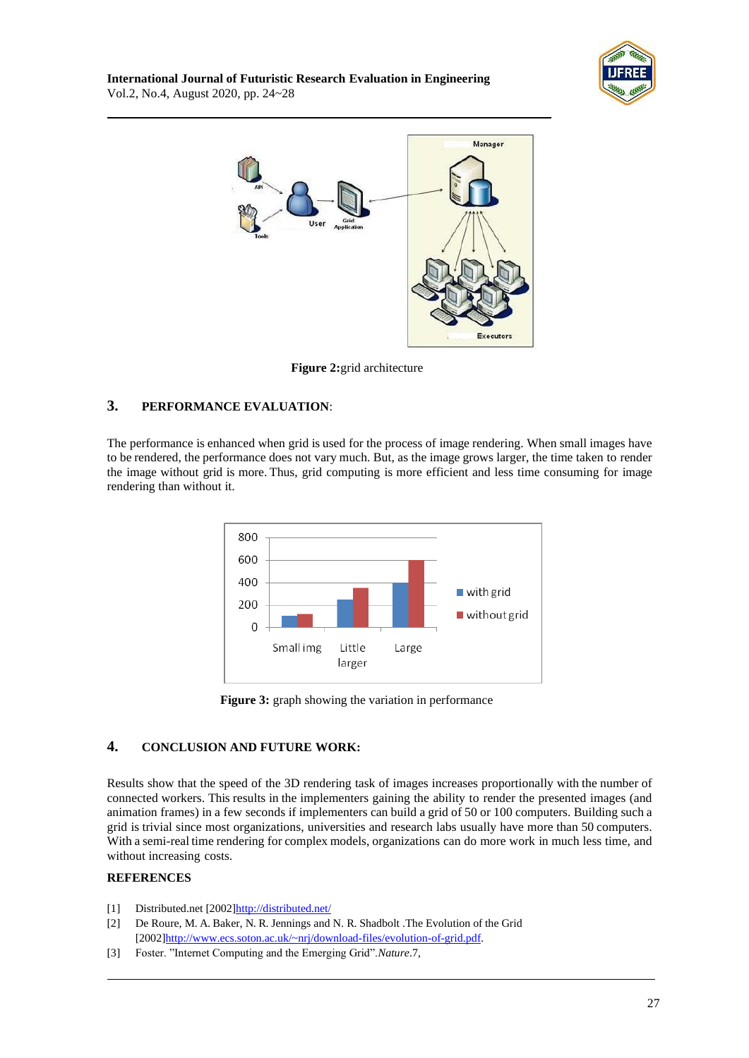



**Figure 2:**grid architecture

# **3. PERFORMANCE EVALUATION**:

The performance is enhanced when grid is used for the process of image rendering. When small images have to be rendered, the performance does not vary much. But, as the image grows larger, the time taken to render the image without grid is more. Thus, grid computing is more efficient and less time consuming for image rendering than without it.



**Figure 3:** graph showing the variation in performance

# **4. CONCLUSION AND FUTURE WORK:**

Results show that the speed of the 3D rendering task of images increases proportionally with the number of connected workers. This results in the implementers gaining the ability to render the presented images (and animation frames) in a few seconds if implementers can build a grid of 50 or 100 computers. Building such a grid is trivial since most organizations, universities and research labs usually have more than 50 computers. With a semi-real time rendering for complex models, organizations can do more work in much less time, and without increasing costs.

# **REFERENCES**

- [1] Distributed.net [2002[\]http://distributed.net/](http://distributed.net/)
- [2] De Roure, M. A. Baker, N. R. Jennings and N. R. Shadbolt .The Evolution of the Grid [2002[\]http://www.ecs.soton.ac.uk/~nrj/download-files/evolution-of-grid.pdf.](http://www.ecs.soton.ac.uk/~nrj/download-files/evolution-of-grid.pdf)
- [3] Foster. "Internet Computing and the Emerging Grid".*Nature*.7,